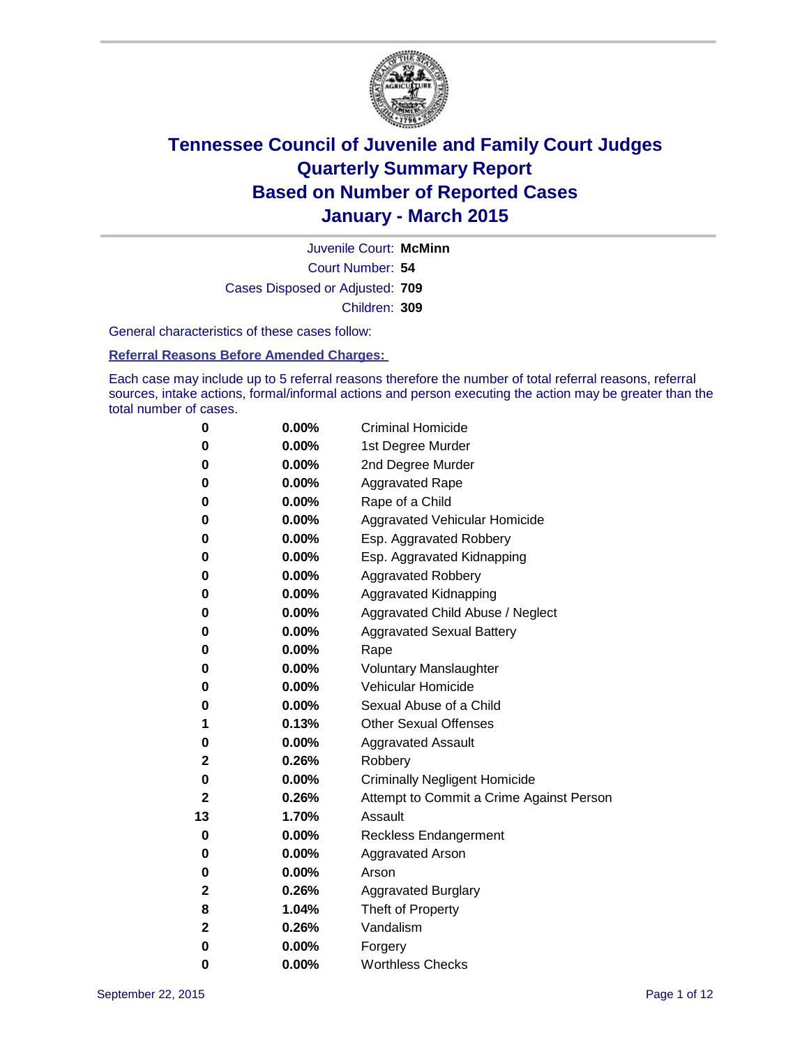

Court Number: **54** Juvenile Court: **McMinn** Cases Disposed or Adjusted: **709** Children: **309**

General characteristics of these cases follow:

### **Referral Reasons Before Amended Charges:**

Each case may include up to 5 referral reasons therefore the number of total referral reasons, referral sources, intake actions, formal/informal actions and person executing the action may be greater than the total number of cases.

| 0  | 0.00%    | <b>Criminal Homicide</b>                 |  |  |  |
|----|----------|------------------------------------------|--|--|--|
| 0  | 0.00%    | 1st Degree Murder                        |  |  |  |
| 0  | 0.00%    | 2nd Degree Murder                        |  |  |  |
| 0  | $0.00\%$ | <b>Aggravated Rape</b>                   |  |  |  |
| 0  | $0.00\%$ | Rape of a Child                          |  |  |  |
| 0  | 0.00%    | Aggravated Vehicular Homicide            |  |  |  |
| 0  | 0.00%    | Esp. Aggravated Robbery                  |  |  |  |
| 0  | 0.00%    | Esp. Aggravated Kidnapping               |  |  |  |
| 0  | 0.00%    | <b>Aggravated Robbery</b>                |  |  |  |
| 0  | 0.00%    | <b>Aggravated Kidnapping</b>             |  |  |  |
| 0  | 0.00%    | Aggravated Child Abuse / Neglect         |  |  |  |
| 0  | 0.00%    | <b>Aggravated Sexual Battery</b>         |  |  |  |
| 0  | 0.00%    | Rape                                     |  |  |  |
| 0  | $0.00\%$ | <b>Voluntary Manslaughter</b>            |  |  |  |
| 0  | 0.00%    | <b>Vehicular Homicide</b>                |  |  |  |
| 0  | 0.00%    | Sexual Abuse of a Child                  |  |  |  |
| 1  | 0.13%    | <b>Other Sexual Offenses</b>             |  |  |  |
| 0  | 0.00%    | <b>Aggravated Assault</b>                |  |  |  |
| 2  | 0.26%    | Robbery                                  |  |  |  |
| 0  | 0.00%    | <b>Criminally Negligent Homicide</b>     |  |  |  |
| 2  | 0.26%    | Attempt to Commit a Crime Against Person |  |  |  |
| 13 | 1.70%    | Assault                                  |  |  |  |
| 0  | 0.00%    | <b>Reckless Endangerment</b>             |  |  |  |
| 0  | $0.00\%$ | <b>Aggravated Arson</b>                  |  |  |  |
| 0  | 0.00%    | Arson                                    |  |  |  |
| 2  | 0.26%    | <b>Aggravated Burglary</b>               |  |  |  |
| 8  | 1.04%    | Theft of Property                        |  |  |  |
| 2  | 0.26%    | Vandalism                                |  |  |  |
| 0  | 0.00%    | Forgery                                  |  |  |  |
| 0  | 0.00%    | <b>Worthless Checks</b>                  |  |  |  |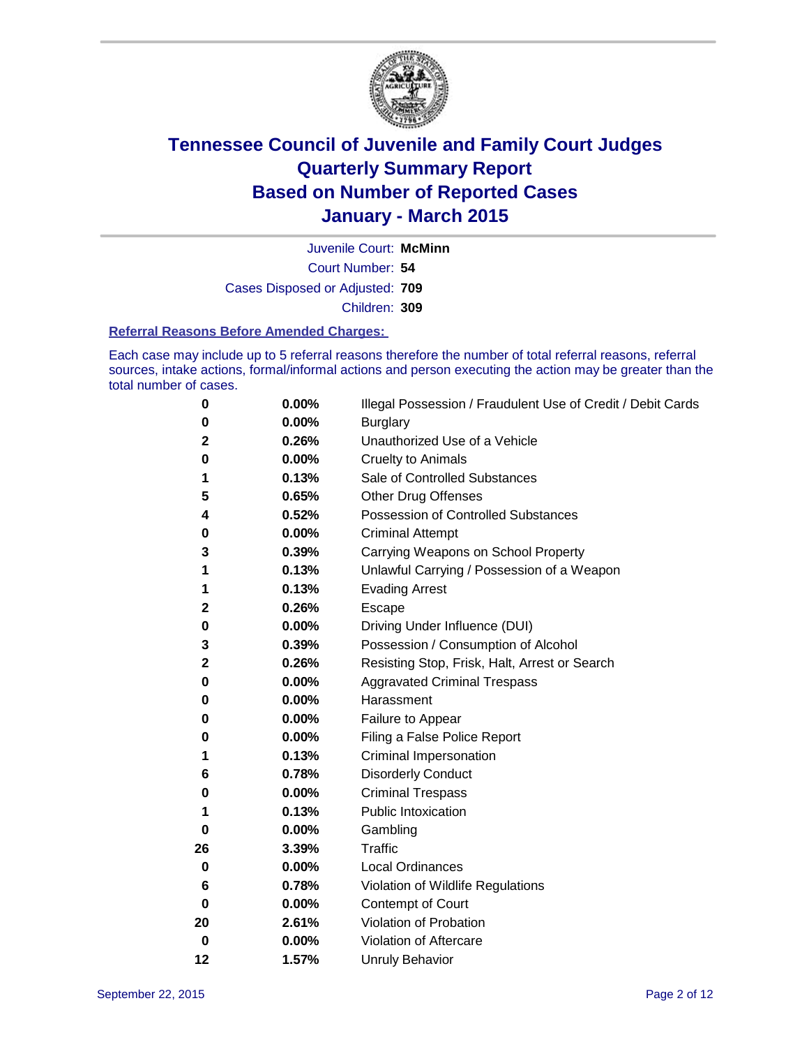

Court Number: **54** Juvenile Court: **McMinn** Cases Disposed or Adjusted: **709** Children: **309**

#### **Referral Reasons Before Amended Charges:**

Each case may include up to 5 referral reasons therefore the number of total referral reasons, referral sources, intake actions, formal/informal actions and person executing the action may be greater than the total number of cases.

| 0        | 0.00% | Illegal Possession / Fraudulent Use of Credit / Debit Cards |
|----------|-------|-------------------------------------------------------------|
| 0        | 0.00% | <b>Burglary</b>                                             |
| 2        | 0.26% | Unauthorized Use of a Vehicle                               |
| 0        | 0.00% | <b>Cruelty to Animals</b>                                   |
| 1        | 0.13% | Sale of Controlled Substances                               |
| 5        | 0.65% | <b>Other Drug Offenses</b>                                  |
| 4        | 0.52% | Possession of Controlled Substances                         |
| 0        | 0.00% | <b>Criminal Attempt</b>                                     |
| 3        | 0.39% | Carrying Weapons on School Property                         |
| 1        | 0.13% | Unlawful Carrying / Possession of a Weapon                  |
| 1        | 0.13% | <b>Evading Arrest</b>                                       |
| 2        | 0.26% | Escape                                                      |
| 0        | 0.00% | Driving Under Influence (DUI)                               |
| 3        | 0.39% | Possession / Consumption of Alcohol                         |
| 2        | 0.26% | Resisting Stop, Frisk, Halt, Arrest or Search               |
| 0        | 0.00% | <b>Aggravated Criminal Trespass</b>                         |
| 0        | 0.00% | Harassment                                                  |
| 0        | 0.00% | Failure to Appear                                           |
| 0        | 0.00% | Filing a False Police Report                                |
| 1        | 0.13% | Criminal Impersonation                                      |
| 6        | 0.78% | <b>Disorderly Conduct</b>                                   |
| 0        | 0.00% | <b>Criminal Trespass</b>                                    |
| 1        | 0.13% | <b>Public Intoxication</b>                                  |
| $\bf{0}$ | 0.00% | Gambling                                                    |
| 26       | 3.39% | <b>Traffic</b>                                              |
| 0        | 0.00% | <b>Local Ordinances</b>                                     |
| 6        | 0.78% | Violation of Wildlife Regulations                           |
| 0        | 0.00% | Contempt of Court                                           |
| 20       | 2.61% | Violation of Probation                                      |
| 0        | 0.00% | Violation of Aftercare                                      |
| 12       | 1.57% | <b>Unruly Behavior</b>                                      |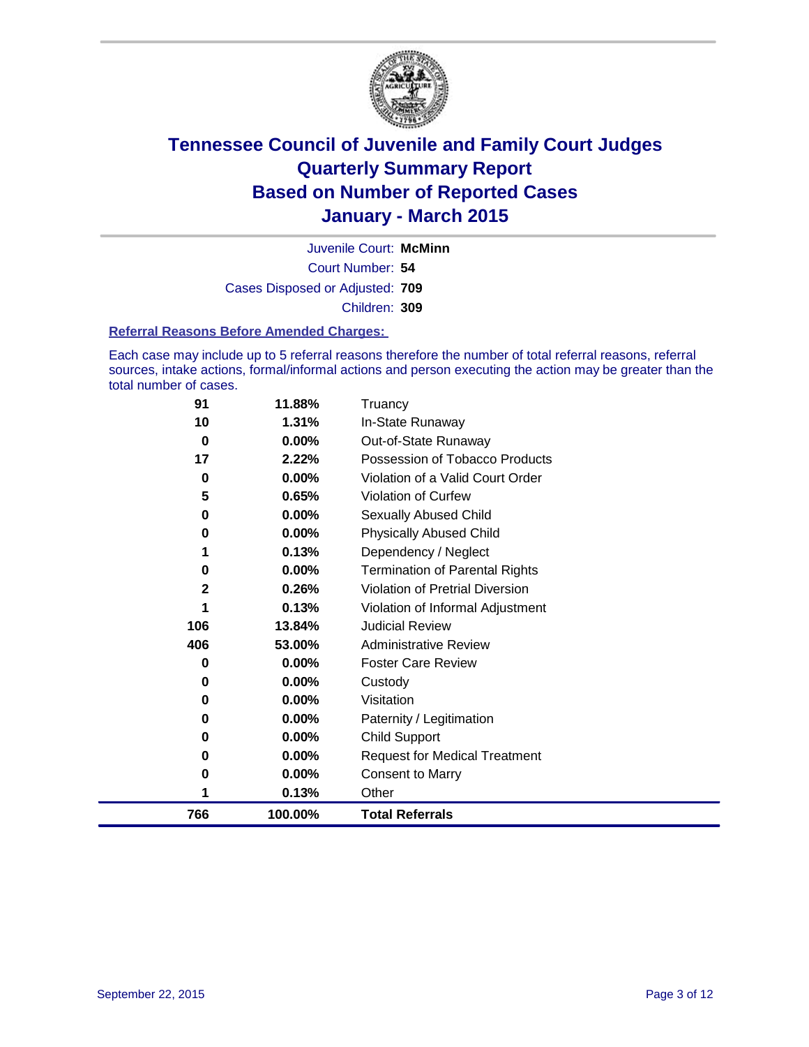

Court Number: **54** Juvenile Court: **McMinn** Cases Disposed or Adjusted: **709** Children: **309**

#### **Referral Reasons Before Amended Charges:**

Each case may include up to 5 referral reasons therefore the number of total referral reasons, referral sources, intake actions, formal/informal actions and person executing the action may be greater than the total number of cases.

| 91           | 11.88%   | Truancy                                |
|--------------|----------|----------------------------------------|
| 10           | 1.31%    | In-State Runaway                       |
| 0            | $0.00\%$ | Out-of-State Runaway                   |
| 17           | 2.22%    | Possession of Tobacco Products         |
| 0            | $0.00\%$ | Violation of a Valid Court Order       |
| 5            | 0.65%    | Violation of Curfew                    |
| 0            | 0.00%    | <b>Sexually Abused Child</b>           |
| 0            | 0.00%    | <b>Physically Abused Child</b>         |
| 1            | 0.13%    | Dependency / Neglect                   |
| 0            | 0.00%    | <b>Termination of Parental Rights</b>  |
| $\mathbf{2}$ | 0.26%    | <b>Violation of Pretrial Diversion</b> |
| 1            | 0.13%    | Violation of Informal Adjustment       |
| 106          | 13.84%   | <b>Judicial Review</b>                 |
| 406          | 53.00%   | <b>Administrative Review</b>           |
| 0            | 0.00%    | <b>Foster Care Review</b>              |
| 0            | 0.00%    | Custody                                |
| 0            | 0.00%    | Visitation                             |
| 0            | 0.00%    | Paternity / Legitimation               |
| 0            | 0.00%    | <b>Child Support</b>                   |
| 0            | 0.00%    | <b>Request for Medical Treatment</b>   |
| 0            | 0.00%    | <b>Consent to Marry</b>                |
| 1            | 0.13%    | Other                                  |
| 766          | 100.00%  | <b>Total Referrals</b>                 |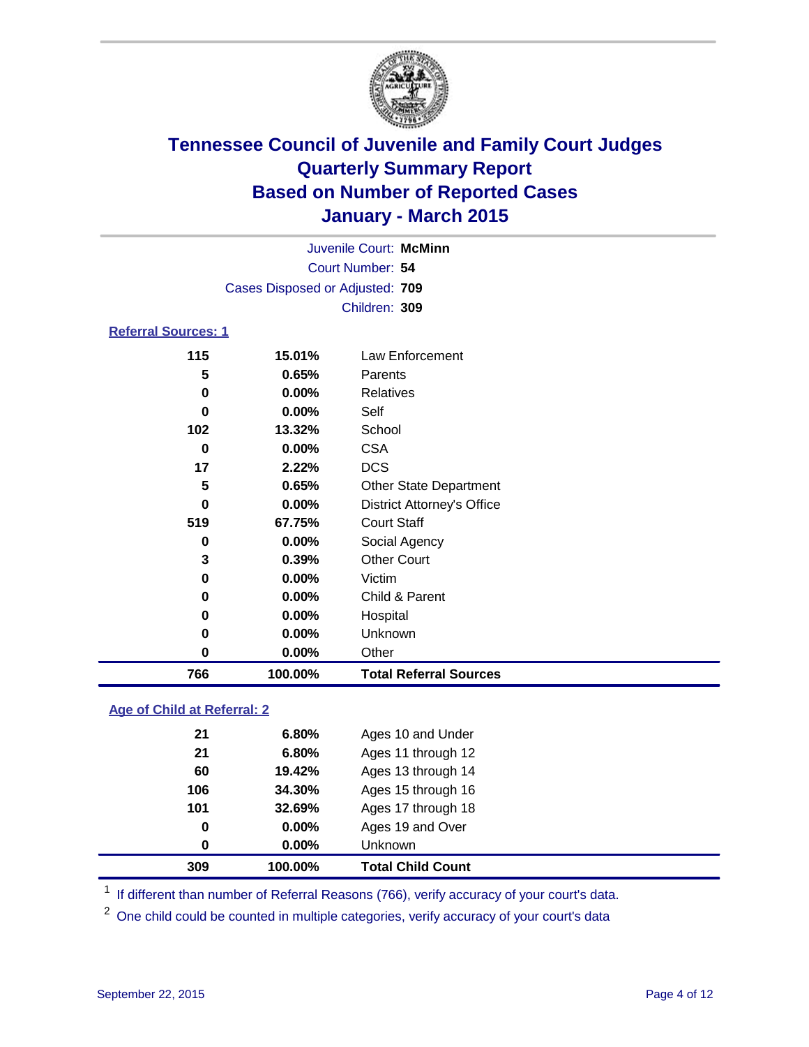

| Juvenile Court: McMinn          |          |                                   |  |  |
|---------------------------------|----------|-----------------------------------|--|--|
| Court Number: 54                |          |                                   |  |  |
| Cases Disposed or Adjusted: 709 |          |                                   |  |  |
|                                 |          | Children: 309                     |  |  |
| <b>Referral Sources: 1</b>      |          |                                   |  |  |
| 115                             | 15.01%   | Law Enforcement                   |  |  |
| 5                               | 0.65%    | Parents                           |  |  |
| 0                               | $0.00\%$ | <b>Relatives</b>                  |  |  |
| 0                               | $0.00\%$ | Self                              |  |  |
| 102                             | 13.32%   | School                            |  |  |
| 0                               | $0.00\%$ | <b>CSA</b>                        |  |  |
| 17                              | 2.22%    | <b>DCS</b>                        |  |  |
| 5                               | 0.65%    | <b>Other State Department</b>     |  |  |
| $\bf{0}$                        | $0.00\%$ | <b>District Attorney's Office</b> |  |  |
| 519                             | 67.75%   | <b>Court Staff</b>                |  |  |
| 0                               | $0.00\%$ | Social Agency                     |  |  |
| 3                               | 0.39%    | <b>Other Court</b>                |  |  |
| 0                               | $0.00\%$ | Victim                            |  |  |
|                                 |          |                                   |  |  |

| 766 | 100.00%  | <b>Total Referral Sources</b> |  |
|-----|----------|-------------------------------|--|
| 0   | $0.00\%$ | Other                         |  |
| 0   | $0.00\%$ | <b>Unknown</b>                |  |
| 0   | $0.00\%$ | Hospital                      |  |
| 0   | $0.00\%$ | Child & Parent                |  |

### **Age of Child at Referral: 2**

| 0<br>0 | $0.00\%$<br>$0.00\%$ | Ages 19 and Over<br><b>Unknown</b> |  |
|--------|----------------------|------------------------------------|--|
|        |                      |                                    |  |
|        |                      |                                    |  |
| 101    |                      | Ages 17 through 18                 |  |
| 106    | 34.30%               | Ages 15 through 16                 |  |
| 60     | 19.42%               | Ages 13 through 14                 |  |
| 21     | 6.80%                | Ages 11 through 12                 |  |
| 21     | 6.80%                | Ages 10 and Under                  |  |
|        |                      | 32.69%                             |  |

<sup>1</sup> If different than number of Referral Reasons (766), verify accuracy of your court's data.

One child could be counted in multiple categories, verify accuracy of your court's data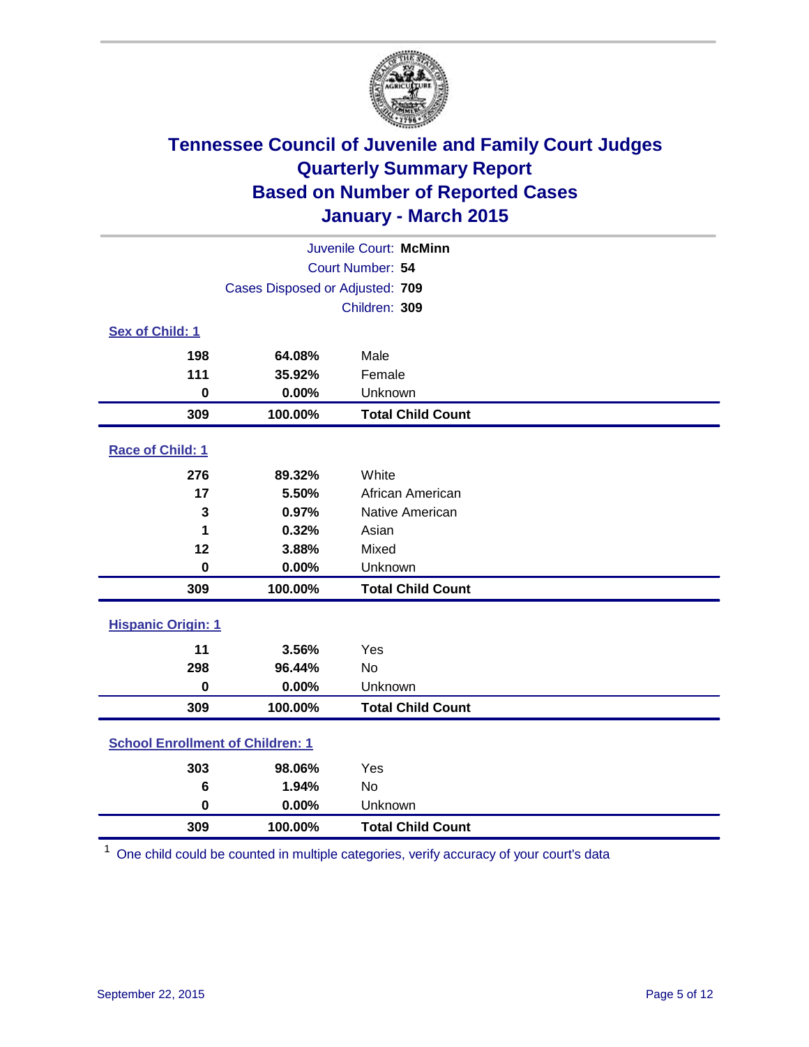

| Juvenile Court: McMinn                  |                                 |                          |  |  |
|-----------------------------------------|---------------------------------|--------------------------|--|--|
|                                         | Court Number: 54                |                          |  |  |
|                                         | Cases Disposed or Adjusted: 709 |                          |  |  |
|                                         | Children: 309                   |                          |  |  |
| <b>Sex of Child: 1</b>                  |                                 |                          |  |  |
| 198                                     | 64.08%                          | Male                     |  |  |
| 111                                     | 35.92%                          | Female                   |  |  |
| $\bf{0}$                                | 0.00%                           | Unknown                  |  |  |
| 309                                     | 100.00%                         | <b>Total Child Count</b> |  |  |
| Race of Child: 1                        |                                 |                          |  |  |
| 276                                     | 89.32%                          | White                    |  |  |
| 17                                      | 5.50%                           | African American         |  |  |
| 3                                       | 0.97%                           | Native American          |  |  |
| 1                                       | 0.32%                           | Asian                    |  |  |
| 12                                      | 3.88%                           | Mixed                    |  |  |
| $\mathbf 0$                             | 0.00%                           | Unknown                  |  |  |
| 309                                     | 100.00%                         | <b>Total Child Count</b> |  |  |
| <b>Hispanic Origin: 1</b>               |                                 |                          |  |  |
| 11                                      | 3.56%                           | Yes                      |  |  |
| 298                                     | 96.44%                          | No                       |  |  |
| 0                                       | 0.00%                           | Unknown                  |  |  |
| 309                                     | 100.00%                         | <b>Total Child Count</b> |  |  |
| <b>School Enrollment of Children: 1</b> |                                 |                          |  |  |
| 303                                     | 98.06%                          | Yes                      |  |  |
| 6                                       | 1.94%                           | No                       |  |  |
| $\mathbf 0$                             | 0.00%                           | Unknown                  |  |  |
| 309                                     | 100.00%                         | <b>Total Child Count</b> |  |  |

One child could be counted in multiple categories, verify accuracy of your court's data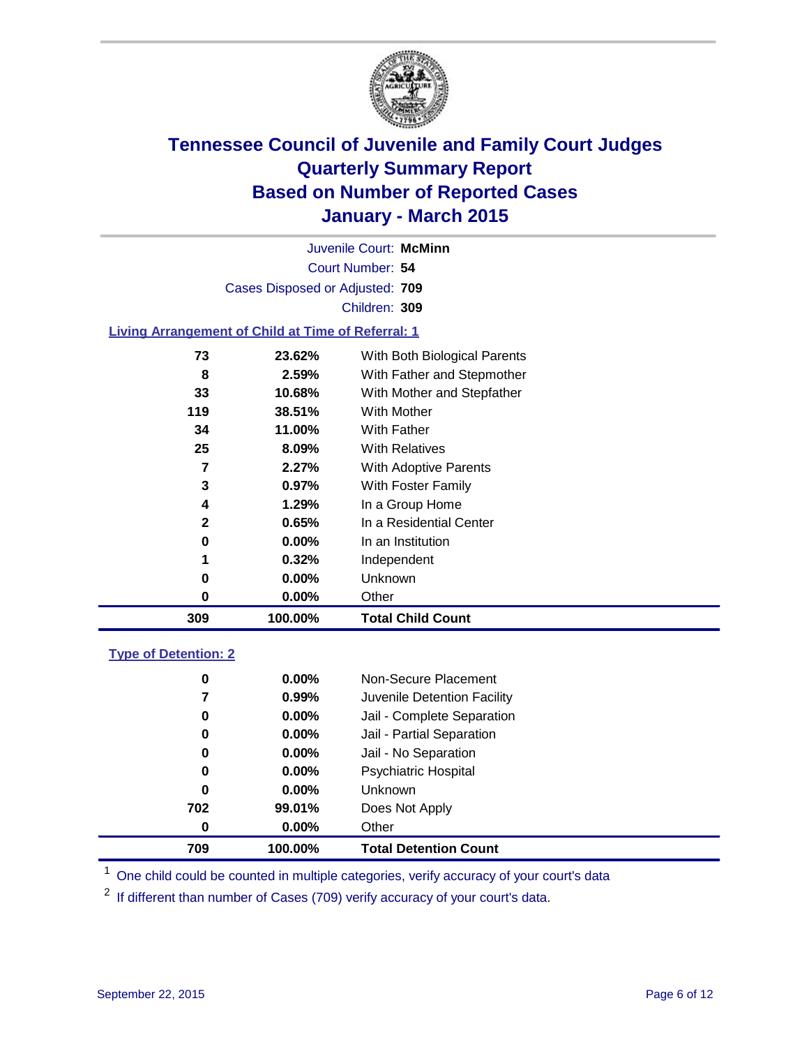

Court Number: **54** Juvenile Court: **McMinn** Cases Disposed or Adjusted: **709** Children: **309**

### **Living Arrangement of Child at Time of Referral: 1**

| 309 | 100.00%  | <b>Total Child Count</b>     |
|-----|----------|------------------------------|
| 0   | $0.00\%$ | Other                        |
| 0   | $0.00\%$ | Unknown                      |
| 1   | 0.32%    | Independent                  |
| 0   | $0.00\%$ | In an Institution            |
| 2   | 0.65%    | In a Residential Center      |
| 4   | 1.29%    | In a Group Home              |
| 3   | 0.97%    | With Foster Family           |
| 7   | 2.27%    | With Adoptive Parents        |
| 25  | 8.09%    | <b>With Relatives</b>        |
| 34  | 11.00%   | With Father                  |
| 119 | 38.51%   | With Mother                  |
| 33  | 10.68%   | With Mother and Stepfather   |
| 8   | 2.59%    | With Father and Stepmother   |
| 73  | 23.62%   | With Both Biological Parents |
|     |          |                              |

### **Type of Detention: 2**

| 0   | $0.00\%$ | <b>Unknown</b>              |
|-----|----------|-----------------------------|
| 702 | 99.01%   | Does Not Apply              |
| 0   | $0.00\%$ | Other                       |
| 0   | $0.00\%$ | Jail - No Separation        |
| 0   | $0.00\%$ | <b>Psychiatric Hospital</b> |
| 0   | $0.00\%$ | Non-Secure Placement        |
| 7   | 0.99%    | Juvenile Detention Facility |
| 0   | $0.00\%$ | Jail - Complete Separation  |
| 0   | $0.00\%$ | Jail - Partial Separation   |

<sup>1</sup> One child could be counted in multiple categories, verify accuracy of your court's data

If different than number of Cases (709) verify accuracy of your court's data.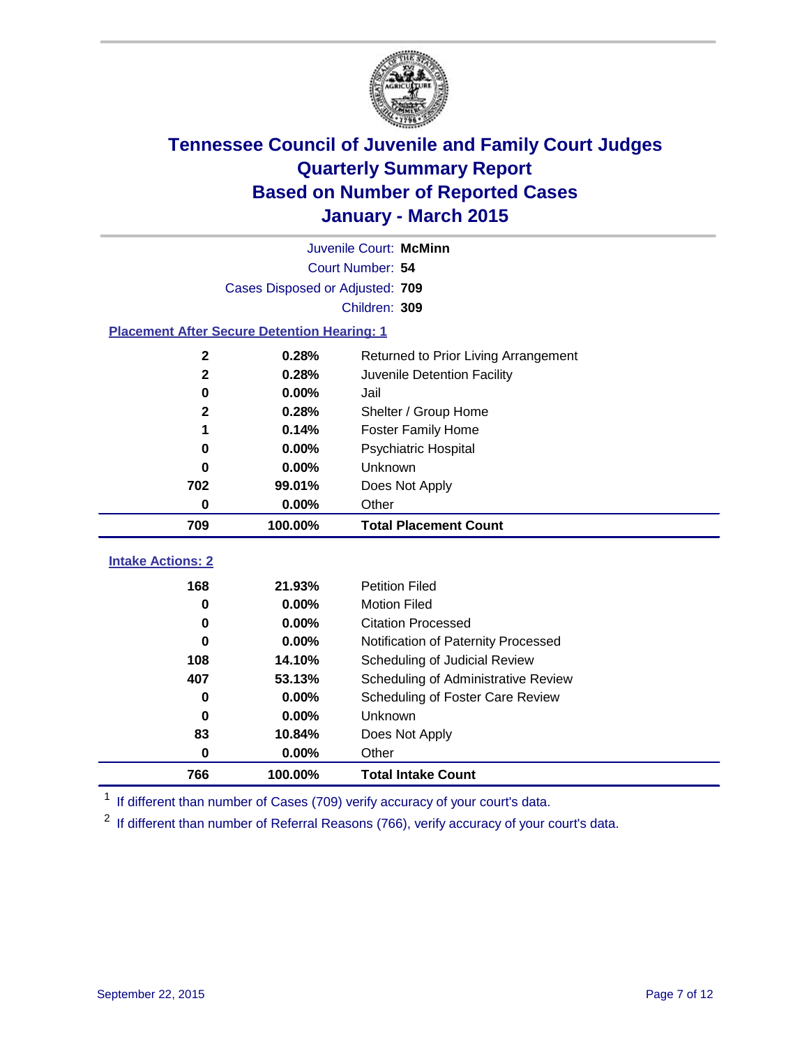

| Juvenile Court: McMinn                                              |                                             |                                                                                                                                                                                                                             |  |  |  |
|---------------------------------------------------------------------|---------------------------------------------|-----------------------------------------------------------------------------------------------------------------------------------------------------------------------------------------------------------------------------|--|--|--|
| Court Number: 54                                                    |                                             |                                                                                                                                                                                                                             |  |  |  |
| Cases Disposed or Adjusted: 709                                     |                                             |                                                                                                                                                                                                                             |  |  |  |
|                                                                     | Children: 309                               |                                                                                                                                                                                                                             |  |  |  |
|                                                                     |                                             |                                                                                                                                                                                                                             |  |  |  |
| 0.28%                                                               | Returned to Prior Living Arrangement        |                                                                                                                                                                                                                             |  |  |  |
| $\mathbf 2$<br>$\mathbf{2}$<br>0.28%<br>Juvenile Detention Facility |                                             |                                                                                                                                                                                                                             |  |  |  |
| 0.00%<br>0<br>Jail                                                  |                                             |                                                                                                                                                                                                                             |  |  |  |
| 0.28%<br>$\mathbf{2}$                                               |                                             |                                                                                                                                                                                                                             |  |  |  |
| 0.14%<br>1                                                          |                                             |                                                                                                                                                                                                                             |  |  |  |
| 0.00%<br><b>Psychiatric Hospital</b><br>$\bf{0}$                    |                                             |                                                                                                                                                                                                                             |  |  |  |
| 0.00%<br>Unknown<br>0                                               |                                             |                                                                                                                                                                                                                             |  |  |  |
| 99.01%                                                              | Does Not Apply                              |                                                                                                                                                                                                                             |  |  |  |
| 0.00%                                                               | Other                                       |                                                                                                                                                                                                                             |  |  |  |
| 100.00%                                                             | <b>Total Placement Count</b>                |                                                                                                                                                                                                                             |  |  |  |
|                                                                     |                                             |                                                                                                                                                                                                                             |  |  |  |
|                                                                     |                                             |                                                                                                                                                                                                                             |  |  |  |
|                                                                     |                                             |                                                                                                                                                                                                                             |  |  |  |
| 0<br>0                                                              |                                             |                                                                                                                                                                                                                             |  |  |  |
|                                                                     |                                             |                                                                                                                                                                                                                             |  |  |  |
| $\bf{0}$<br>108<br>Scheduling of Judicial Review                    |                                             |                                                                                                                                                                                                                             |  |  |  |
|                                                                     |                                             |                                                                                                                                                                                                                             |  |  |  |
| 14.10%                                                              |                                             |                                                                                                                                                                                                                             |  |  |  |
| 53.13%                                                              | Scheduling of Administrative Review         |                                                                                                                                                                                                                             |  |  |  |
| $0.00\%$<br>0.00%                                                   | Scheduling of Foster Care Review<br>Unknown |                                                                                                                                                                                                                             |  |  |  |
|                                                                     | 21.93%<br>0.00%<br>$0.00\%$<br>0.00%        | <b>Placement After Secure Detention Hearing: 1</b><br>Shelter / Group Home<br><b>Foster Family Home</b><br><b>Petition Filed</b><br><b>Motion Filed</b><br><b>Citation Processed</b><br>Notification of Paternity Processed |  |  |  |

<sup>1</sup> If different than number of Cases (709) verify accuracy of your court's data.

**100.00% Total Intake Count**

**0.00%** Other

<sup>2</sup> If different than number of Referral Reasons (766), verify accuracy of your court's data.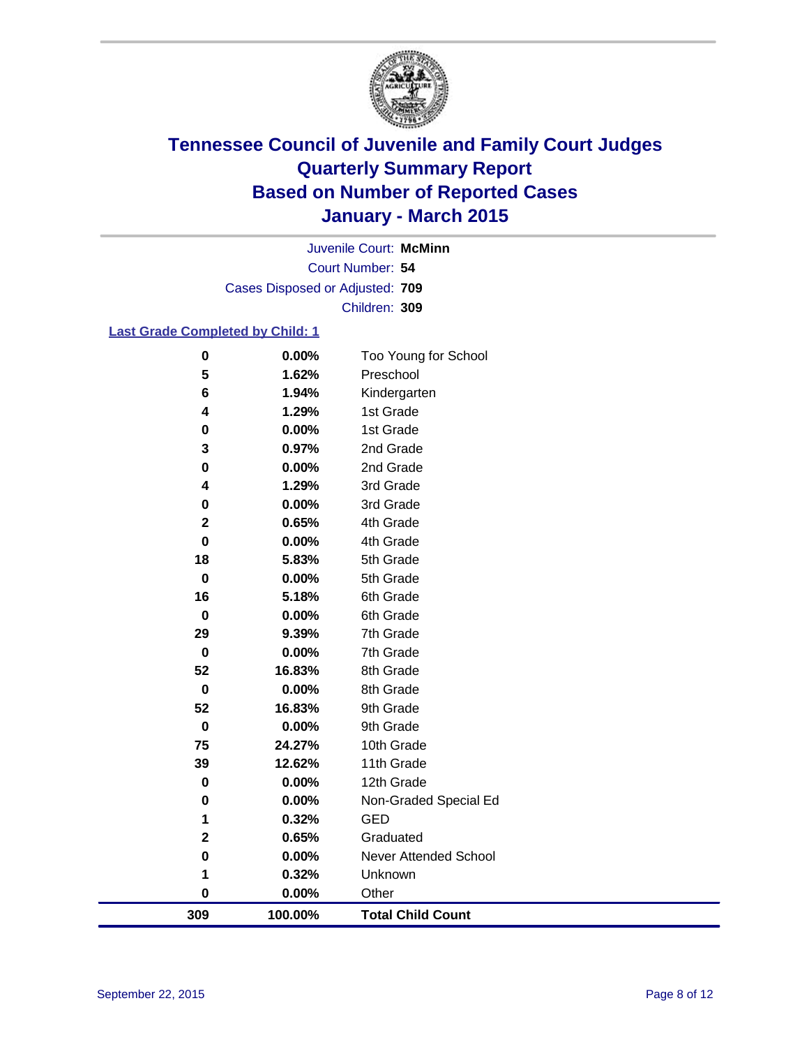

Court Number: **54** Juvenile Court: **McMinn** Cases Disposed or Adjusted: **709** Children: **309**

### **Last Grade Completed by Child: 1**

| 309              | 100.00%           | <b>Total Child Count</b> |
|------------------|-------------------|--------------------------|
| $\bf{0}$         | $0.00\%$          | Other                    |
| 1                | 0.32%             | Unknown                  |
| $\bf{0}$         | 0.00%             | Never Attended School    |
| $\mathbf 2$      | 0.65%             | Graduated                |
| 1                | 0.32%             | <b>GED</b>               |
| $\bf{0}$         | 0.00%             | Non-Graded Special Ed    |
| $\mathbf 0$      | 0.00%             | 12th Grade               |
| 39               | 12.62%            | 11th Grade               |
| 75               | 24.27%            | 10th Grade               |
| $\bf{0}$         | 0.00%             | 9th Grade                |
| 52               | 16.83%            | 9th Grade                |
| $\pmb{0}$        | 0.00%             | 8th Grade                |
| 52               | 16.83%            | 8th Grade                |
| $\bf{0}$         | 0.00%             | 7th Grade                |
| 29               | 9.39%             | 7th Grade                |
| $\mathbf 0$      | 0.00%             | 6th Grade                |
| 16               | 5.18%             | 6th Grade                |
| $\bf{0}$         | 0.00%             | 5th Grade                |
| 18               | 5.83%             | 5th Grade                |
| $\bf{0}$         | $0.00\%$          | 4th Grade                |
| 0<br>$\mathbf 2$ | $0.00\%$<br>0.65% | 3rd Grade<br>4th Grade   |
| 4                | 1.29%             | 3rd Grade                |
| $\bf{0}$         | $0.00\%$          | 2nd Grade                |
| 3                | 0.97%             | 2nd Grade                |
| 0                | 0.00%             | 1st Grade                |
| 4                | 1.29%             | 1st Grade                |
| 6                | 1.94%             | Kindergarten             |
| 5                | 1.62%             | Preschool                |
| $\bf{0}$         | 0.00%             | Too Young for School     |
|                  |                   |                          |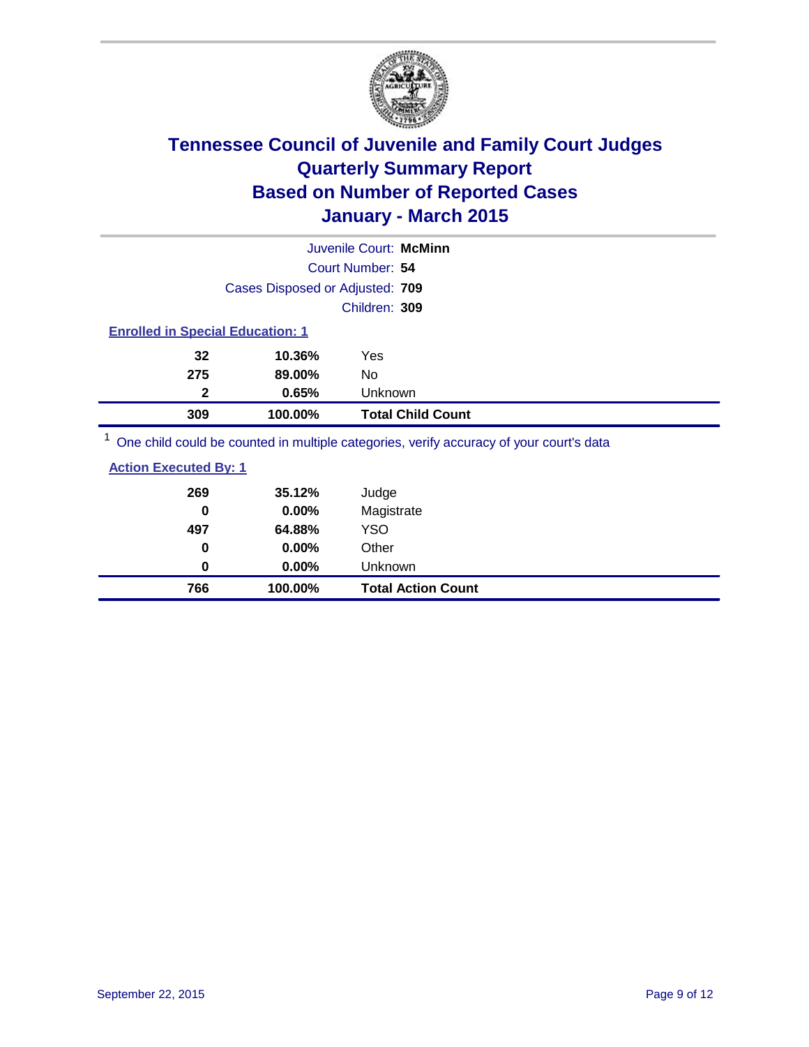

|                                                                                         |                                 | Juvenile Court: McMinn   |  |
|-----------------------------------------------------------------------------------------|---------------------------------|--------------------------|--|
|                                                                                         | Court Number: 54                |                          |  |
|                                                                                         | Cases Disposed or Adjusted: 709 |                          |  |
|                                                                                         |                                 | Children: 309            |  |
| <b>Enrolled in Special Education: 1</b>                                                 |                                 |                          |  |
| 32                                                                                      | 10.36%<br>Yes                   |                          |  |
| 275                                                                                     | 89.00%<br>No                    |                          |  |
| $\mathbf{2}$                                                                            | 0.65%                           | Unknown                  |  |
| 309                                                                                     | 100.00%                         | <b>Total Child Count</b> |  |
| One child could be counted in multiple categories, verify accuracy of your court's data |                                 |                          |  |

| 766                          | 100.00% | <b>Total Action Count</b> |
|------------------------------|---------|---------------------------|
| 0                            | 0.00%   | Unknown                   |
| 0                            | 0.00%   | Other                     |
| 497                          | 64.88%  | <b>YSO</b>                |
| 0                            | 0.00%   | Magistrate                |
| 269                          | 35.12%  | Judge                     |
| <b>Action Executed By: 1</b> |         |                           |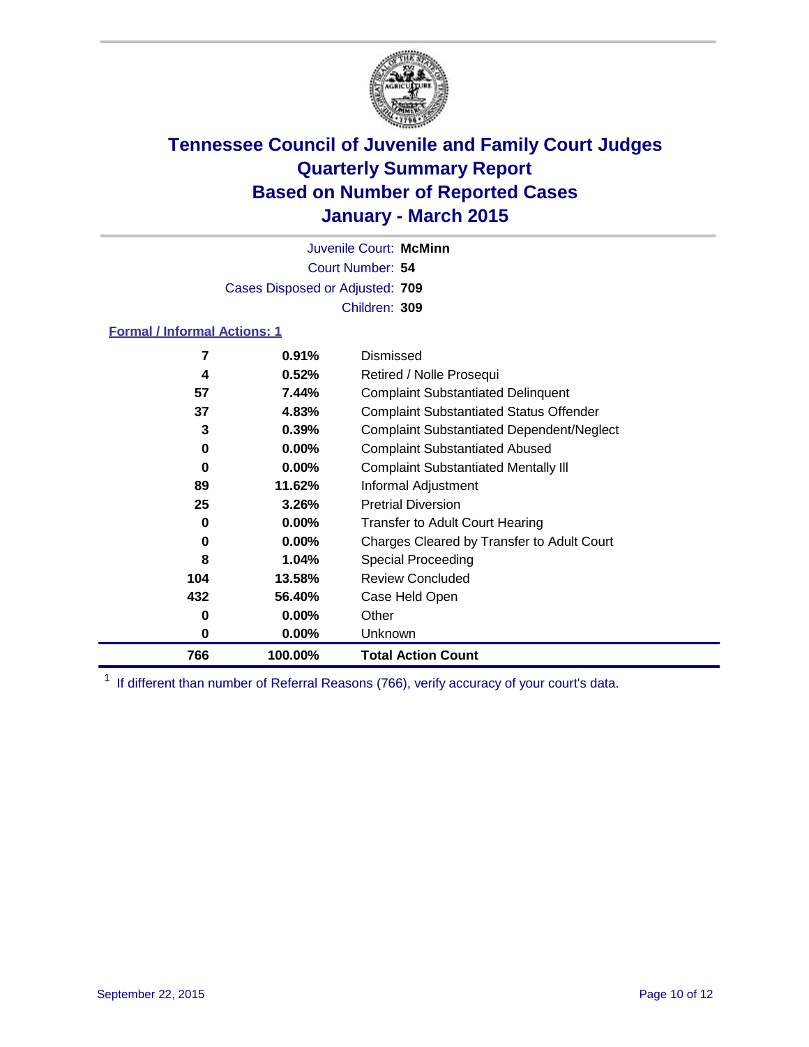

Court Number: **54** Juvenile Court: **McMinn** Cases Disposed or Adjusted: **709** Children: **309**

### **Formal / Informal Actions: 1**

| 7   | 0.91%    | Dismissed                                        |
|-----|----------|--------------------------------------------------|
| 4   | 0.52%    | Retired / Nolle Prosequi                         |
| 57  | 7.44%    | <b>Complaint Substantiated Delinquent</b>        |
| 37  | 4.83%    | <b>Complaint Substantiated Status Offender</b>   |
| 3   | 0.39%    | <b>Complaint Substantiated Dependent/Neglect</b> |
| 0   | $0.00\%$ | <b>Complaint Substantiated Abused</b>            |
| 0   | $0.00\%$ | <b>Complaint Substantiated Mentally III</b>      |
| 89  | 11.62%   | Informal Adjustment                              |
| 25  | 3.26%    | <b>Pretrial Diversion</b>                        |
| 0   | $0.00\%$ | <b>Transfer to Adult Court Hearing</b>           |
| 0   | $0.00\%$ | Charges Cleared by Transfer to Adult Court       |
| 8   | 1.04%    | Special Proceeding                               |
| 104 | 13.58%   | <b>Review Concluded</b>                          |
| 432 | 56.40%   | Case Held Open                                   |
| 0   | $0.00\%$ | Other                                            |
| 0   | $0.00\%$ | Unknown                                          |
| 766 | 100.00%  | <b>Total Action Count</b>                        |

<sup>1</sup> If different than number of Referral Reasons (766), verify accuracy of your court's data.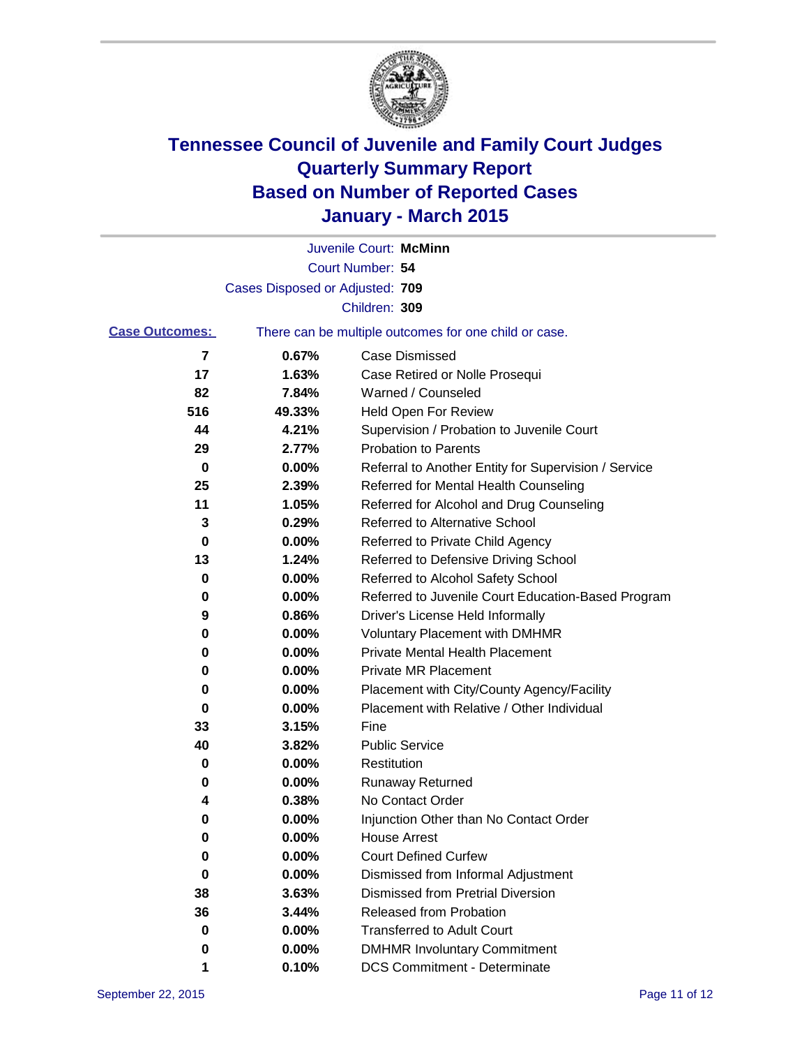

|                       |                                 | Juvenile Court: McMinn                                |
|-----------------------|---------------------------------|-------------------------------------------------------|
|                       |                                 | Court Number: 54                                      |
|                       | Cases Disposed or Adjusted: 709 |                                                       |
|                       |                                 | Children: 309                                         |
| <b>Case Outcomes:</b> |                                 | There can be multiple outcomes for one child or case. |
| 7                     | 0.67%                           | Case Dismissed                                        |
| 17                    | 1.63%                           | Case Retired or Nolle Prosequi                        |
| 82                    | 7.84%                           | Warned / Counseled                                    |
| 516                   | 49.33%                          | <b>Held Open For Review</b>                           |
| 44                    | 4.21%                           | Supervision / Probation to Juvenile Court             |
| 29                    | 2.77%                           | <b>Probation to Parents</b>                           |
| 0                     | 0.00%                           | Referral to Another Entity for Supervision / Service  |
| 25                    | 2.39%                           | Referred for Mental Health Counseling                 |
| 11                    | 1.05%                           | Referred for Alcohol and Drug Counseling              |
| 3                     | 0.29%                           | Referred to Alternative School                        |
| 0                     | 0.00%                           | Referred to Private Child Agency                      |
| 13                    | 1.24%                           | Referred to Defensive Driving School                  |
| 0                     | 0.00%                           | Referred to Alcohol Safety School                     |
| 0                     | 0.00%                           | Referred to Juvenile Court Education-Based Program    |
| 9                     | 0.86%                           | Driver's License Held Informally                      |
| 0                     | 0.00%                           | <b>Voluntary Placement with DMHMR</b>                 |
| 0                     | 0.00%                           | <b>Private Mental Health Placement</b>                |
| 0                     | 0.00%                           | <b>Private MR Placement</b>                           |
| 0                     | 0.00%                           | Placement with City/County Agency/Facility            |
| 0                     | 0.00%                           | Placement with Relative / Other Individual            |
| 33                    | 3.15%                           | Fine                                                  |
| 40                    | 3.82%                           | <b>Public Service</b>                                 |
| 0                     | 0.00%                           | Restitution                                           |
| 0                     | 0.00%                           | <b>Runaway Returned</b>                               |
| 4                     | 0.38%                           | No Contact Order                                      |
| 0                     | 0.00%                           | Injunction Other than No Contact Order                |
| $\bf{0}$              | 0.00%                           | House Arrest                                          |
| 0                     | 0.00%                           | <b>Court Defined Curfew</b>                           |
| 0                     | 0.00%                           | Dismissed from Informal Adjustment                    |
| 38                    | 3.63%                           | <b>Dismissed from Pretrial Diversion</b>              |
| 36                    | 3.44%                           | Released from Probation                               |
| 0                     | 0.00%                           | <b>Transferred to Adult Court</b>                     |
| 0                     | 0.00%                           | <b>DMHMR Involuntary Commitment</b>                   |
| 1                     | 0.10%                           | <b>DCS Commitment - Determinate</b>                   |